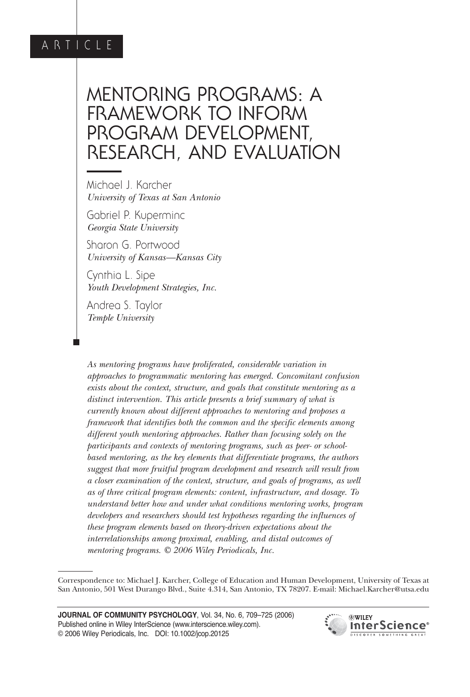# MENTORING PROGRAMS: A FRAMEWORK TO INFORM PROGRAM DEVELOPMENT, RESEARCH, AND EVALUATION

Michael J. Karcher *University of Texas at San Antonio*

Gabriel P. Kuperminc *Georgia State University*

Sharon G. Portwood *University of Kansas—Kansas City*

Cynthia L. Sipe *Youth Development Strategies, Inc.*

Andrea S. Taylor *Temple University*

*As mentoring programs have proliferated, considerable variation in approaches to programmatic mentoring has emerged. Concomitant confusion exists about the context, structure, and goals that constitute mentoring as a distinct intervention. This article presents a brief summary of what is currently known about different approaches to mentoring and proposes a framework that identifies both the common and the specific elements among different youth mentoring approaches. Rather than focusing solely on the participants and contexts of mentoring programs, such as peer- or schoolbased mentoring, as the key elements that differentiate programs, the authors suggest that more fruitful program development and research will result from a closer examination of the context, structure, and goals of programs, as well as of three critical program elements: content, infrastructure, and dosage. To understand better how and under what conditions mentoring works, program developers and researchers should test hypotheses regarding the influences of these program elements based on theory-driven expectations about the interrelationships among proximal, enabling, and distal outcomes of mentoring programs. © 2006 Wiley Periodicals, Inc.*

**JOURNAL OF COMMUNITY PSYCHOLOGY**, Vol. 34, No. 6, 709–725 (2006) Published online in Wiley InterScience (www.interscience.wiley.com). © 2006 Wiley Periodicals, Inc. DOI: 10.1002/jcop.20125



Correspondence to: Michael J. Karcher, College of Education and Human Development, University of Texas at San Antonio, 501 West Durango Blvd., Suite 4.314, San Antonio, TX 78207. E-mail: Michael.Karcher@utsa.edu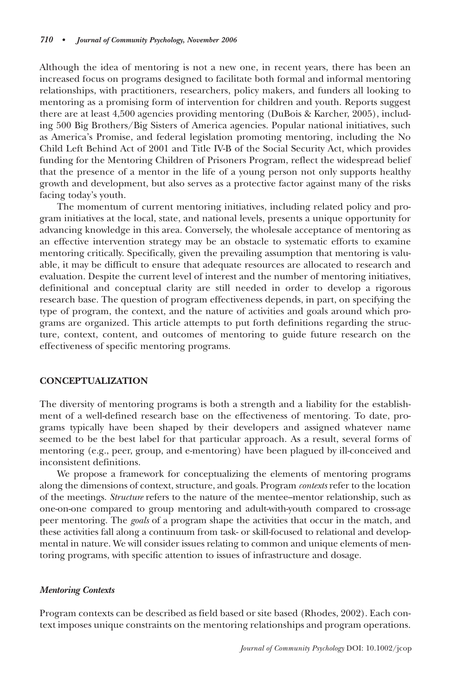Although the idea of mentoring is not a new one, in recent years, there has been an increased focus on programs designed to facilitate both formal and informal mentoring relationships, with practitioners, researchers, policy makers, and funders all looking to mentoring as a promising form of intervention for children and youth. Reports suggest there are at least 4,500 agencies providing mentoring (DuBois & Karcher, 2005), including 500 Big Brothers/Big Sisters of America agencies. Popular national initiatives, such as America's Promise, and federal legislation promoting mentoring, including the No Child Left Behind Act of 2001 and Title IV-B of the Social Security Act, which provides funding for the Mentoring Children of Prisoners Program, reflect the widespread belief that the presence of a mentor in the life of a young person not only supports healthy growth and development, but also serves as a protective factor against many of the risks facing today's youth.

The momentum of current mentoring initiatives, including related policy and program initiatives at the local, state, and national levels, presents a unique opportunity for advancing knowledge in this area. Conversely, the wholesale acceptance of mentoring as an effective intervention strategy may be an obstacle to systematic efforts to examine mentoring critically. Specifically, given the prevailing assumption that mentoring is valuable, it may be difficult to ensure that adequate resources are allocated to research and evaluation. Despite the current level of interest and the number of mentoring initiatives, definitional and conceptual clarity are still needed in order to develop a rigorous research base. The question of program effectiveness depends, in part, on specifying the type of program, the context, and the nature of activities and goals around which programs are organized. This article attempts to put forth definitions regarding the structure, context, content, and outcomes of mentoring to guide future research on the effectiveness of specific mentoring programs.

#### **CONCEPTUALIZATION**

The diversity of mentoring programs is both a strength and a liability for the establishment of a well-defined research base on the effectiveness of mentoring. To date, programs typically have been shaped by their developers and assigned whatever name seemed to be the best label for that particular approach. As a result, several forms of mentoring (e.g., peer, group, and e-mentoring) have been plagued by ill-conceived and inconsistent definitions.

We propose a framework for conceptualizing the elements of mentoring programs along the dimensions of context, structure, and goals. Program *contexts* refer to the location of the meetings. *Structure* refers to the nature of the mentee–mentor relationship, such as one-on-one compared to group mentoring and adult-with-youth compared to cross-age peer mentoring. The *goals* of a program shape the activities that occur in the match, and these activities fall along a continuum from task- or skill-focused to relational and developmental in nature. We will consider issues relating to common and unique elements of mentoring programs, with specific attention to issues of infrastructure and dosage.

#### *Mentoring Contexts*

Program contexts can be described as field based or site based (Rhodes, 2002). Each context imposes unique constraints on the mentoring relationships and program operations.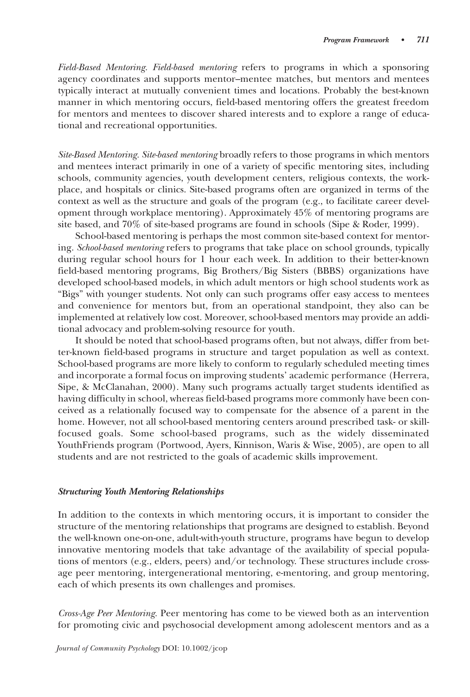*Field-Based Mentoring. Field-based mentoring* refers to programs in which a sponsoring agency coordinates and supports mentor–mentee matches, but mentors and mentees typically interact at mutually convenient times and locations. Probably the best-known manner in which mentoring occurs, field-based mentoring offers the greatest freedom for mentors and mentees to discover shared interests and to explore a range of educational and recreational opportunities.

*Site-Based Mentoring. Site-based mentoring* broadly refers to those programs in which mentors and mentees interact primarily in one of a variety of specific mentoring sites, including schools, community agencies, youth development centers, religious contexts, the workplace, and hospitals or clinics. Site-based programs often are organized in terms of the context as well as the structure and goals of the program (e.g., to facilitate career development through workplace mentoring). Approximately 45% of mentoring programs are site based, and 70% of site-based programs are found in schools (Sipe & Roder, 1999).

School-based mentoring is perhaps the most common site-based context for mentoring. *School-based mentoring* refers to programs that take place on school grounds, typically during regular school hours for 1 hour each week. In addition to their better-known field-based mentoring programs, Big Brothers/Big Sisters (BBBS) organizations have developed school-based models, in which adult mentors or high school students work as "Bigs" with younger students. Not only can such programs offer easy access to mentees and convenience for mentors but, from an operational standpoint, they also can be implemented at relatively low cost. Moreover, school-based mentors may provide an additional advocacy and problem-solving resource for youth.

It should be noted that school-based programs often, but not always, differ from better-known field-based programs in structure and target population as well as context. School-based programs are more likely to conform to regularly scheduled meeting times and incorporate a formal focus on improving students' academic performance (Herrera, Sipe, & McClanahan, 2000). Many such programs actually target students identified as having difficulty in school, whereas field-based programs more commonly have been conceived as a relationally focused way to compensate for the absence of a parent in the home. However, not all school-based mentoring centers around prescribed task- or skillfocused goals. Some school-based programs, such as the widely disseminated YouthFriends program (Portwood, Ayers, Kinnison, Waris & Wise, 2005), are open to all students and are not restricted to the goals of academic skills improvement.

## *Structuring Youth Mentoring Relationships*

In addition to the contexts in which mentoring occurs, it is important to consider the structure of the mentoring relationships that programs are designed to establish. Beyond the well-known one-on-one, adult-with-youth structure, programs have begun to develop innovative mentoring models that take advantage of the availability of special populations of mentors (e.g., elders, peers) and/or technology. These structures include crossage peer mentoring, intergenerational mentoring, e-mentoring, and group mentoring, each of which presents its own challenges and promises.

*Cross-Age Peer Mentoring.* Peer mentoring has come to be viewed both as an intervention for promoting civic and psychosocial development among adolescent mentors and as a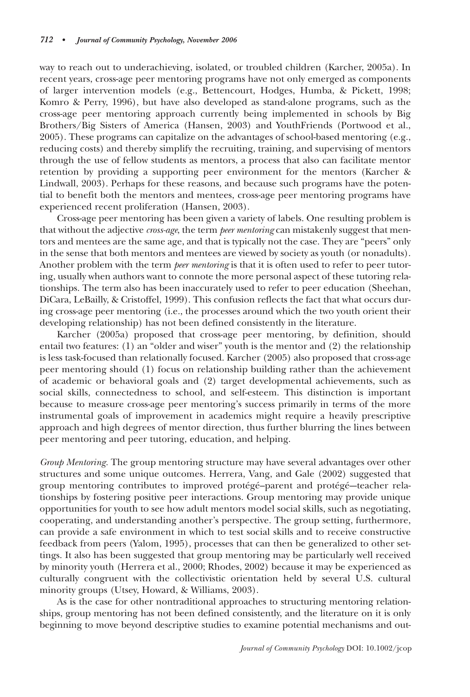way to reach out to underachieving, isolated, or troubled children (Karcher, 2005a). In recent years, cross-age peer mentoring programs have not only emerged as components of larger intervention models (e.g., Bettencourt, Hodges, Humba, & Pickett, 1998; Komro & Perry, 1996), but have also developed as stand-alone programs, such as the cross-age peer mentoring approach currently being implemented in schools by Big Brothers/Big Sisters of America (Hansen, 2003) and YouthFriends (Portwood et al., 2005). These programs can capitalize on the advantages of school-based mentoring (e.g., reducing costs) and thereby simplify the recruiting, training, and supervising of mentors through the use of fellow students as mentors, a process that also can facilitate mentor retention by providing a supporting peer environment for the mentors (Karcher & Lindwall, 2003). Perhaps for these reasons, and because such programs have the potential to benefit both the mentors and mentees, cross-age peer mentoring programs have experienced recent proliferation (Hansen, 2003).

Cross-age peer mentoring has been given a variety of labels. One resulting problem is that without the adjective *cross-age*, the term *peer mentoring* can mistakenly suggest that mentors and mentees are the same age, and that is typically not the case. They are "peers" only in the sense that both mentors and mentees are viewed by society as youth (or nonadults). Another problem with the term *peer mentoring* is that it is often used to refer to peer tutoring, usually when authors want to connote the more personal aspect of these tutoring relationships. The term also has been inaccurately used to refer to peer education (Sheehan, DiCara, LeBailly, & Cristoffel, 1999). This confusion reflects the fact that what occurs during cross-age peer mentoring (i.e., the processes around which the two youth orient their developing relationship) has not been defined consistently in the literature.

Karcher (2005a) proposed that cross-age peer mentoring, by definition, should entail two features: (1) an "older and wiser" youth is the mentor and (2) the relationship is less task-focused than relationally focused. Karcher (2005) also proposed that cross-age peer mentoring should (1) focus on relationship building rather than the achievement of academic or behavioral goals and (2) target developmental achievements, such as social skills, connectedness to school, and self-esteem. This distinction is important because to measure cross-age peer mentoring's success primarily in terms of the more instrumental goals of improvement in academics might require a heavily prescriptive approach and high degrees of mentor direction, thus further blurring the lines between peer mentoring and peer tutoring, education, and helping.

*Group Mentoring.* The group mentoring structure may have several advantages over other structures and some unique outcomes. Herrera, Vang, and Gale (2002) suggested that group mentoring contributes to improved protégé–parent and protégé–-teacher relationships by fostering positive peer interactions. Group mentoring may provide unique opportunities for youth to see how adult mentors model social skills, such as negotiating, cooperating, and understanding another's perspective. The group setting, furthermore, can provide a safe environment in which to test social skills and to receive constructive feedback from peers (Yalom, 1995), processes that can then be generalized to other settings. It also has been suggested that group mentoring may be particularly well received by minority youth (Herrera et al., 2000; Rhodes, 2002) because it may be experienced as culturally congruent with the collectivistic orientation held by several U.S. cultural minority groups (Utsey, Howard, & Williams, 2003).

As is the case for other nontraditional approaches to structuring mentoring relationships, group mentoring has not been defined consistently, and the literature on it is only beginning to move beyond descriptive studies to examine potential mechanisms and out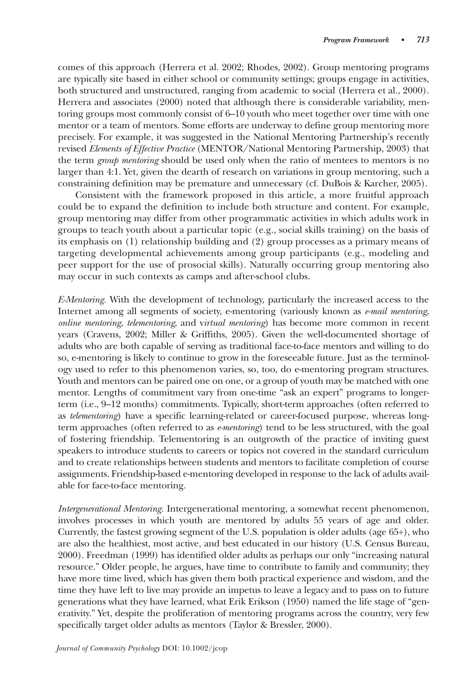comes of this approach (Herrera et al. 2002; Rhodes, 2002). Group mentoring programs are typically site based in either school or community settings; groups engage in activities, both structured and unstructured, ranging from academic to social (Herrera et al., 2000). Herrera and associates (2000) noted that although there is considerable variability, mentoring groups most commonly consist of 6–10 youth who meet together over time with one mentor or a team of mentors. Some efforts are underway to define group mentoring more precisely. For example, it was suggested in the National Mentoring Partnership's recently revised *Elements of Effective Practice* (MENTOR/National Mentoring Partnership, 2003) that the term *group mentoring* should be used only when the ratio of mentees to mentors is no larger than 4:1. Yet, given the dearth of research on variations in group mentoring, such a constraining definition may be premature and unnecessary (cf. DuBois & Karcher, 2005).

Consistent with the framework proposed in this article, a more fruitful approach could be to expand the definition to include both structure and content. For example, group mentoring may differ from other programmatic activities in which adults work in groups to teach youth about a particular topic (e.g., social skills training) on the basis of its emphasis on (1) relationship building and (2) group processes as a primary means of targeting developmental achievements among group participants (e.g., modeling and peer support for the use of prosocial skills). Naturally occurring group mentoring also may occur in such contexts as camps and after-school clubs.

*E-Mentoring.* With the development of technology, particularly the increased access to the Internet among all segments of society, e-mentoring (variously known as *e-mail mentoring*, *online mentoring*, *telementoring*, and v*irtual mentoring*) has become more common in recent years (Cravens, 2002; Miller & Griffiths, 2005). Given the well-documented shortage of adults who are both capable of serving as traditional face-to-face mentors and willing to do so, e-mentoring is likely to continue to grow in the foreseeable future. Just as the terminology used to refer to this phenomenon varies, so, too, do e-mentoring program structures. Youth and mentors can be paired one on one, or a group of youth may be matched with one mentor. Lengths of commitment vary from one-time "ask an expert" programs to longerterm (i.e., 9–12 months) commitments. Typically, short-term approaches (often referred to as *telementoring*) have a specific learning-related or career-focused purpose, whereas longterm approaches (often referred to as *e-mentoring*) tend to be less structured, with the goal of fostering friendship. Telementoring is an outgrowth of the practice of inviting guest speakers to introduce students to careers or topics not covered in the standard curriculum and to create relationships between students and mentors to facilitate completion of course assignments. Friendship-based e-mentoring developed in response to the lack of adults available for face-to-face mentoring.

*Intergenerational Mentoring.* Intergenerational mentoring, a somewhat recent phenomenon, involves processes in which youth are mentored by adults 55 years of age and older. Currently, the fastest growing segment of the U.S. population is older adults (age 65+), who are also the healthiest, most active, and best educated in our history (U.S. Census Bureau, 2000). Freedman (1999) has identified older adults as perhaps our only "increasing natural resource." Older people, he argues, have time to contribute to family and community; they have more time lived, which has given them both practical experience and wisdom, and the time they have left to live may provide an impetus to leave a legacy and to pass on to future generations what they have learned, what Erik Erikson (1950) named the life stage of "generativity." Yet, despite the proliferation of mentoring programs across the country, very few specifically target older adults as mentors (Taylor & Bressler, 2000).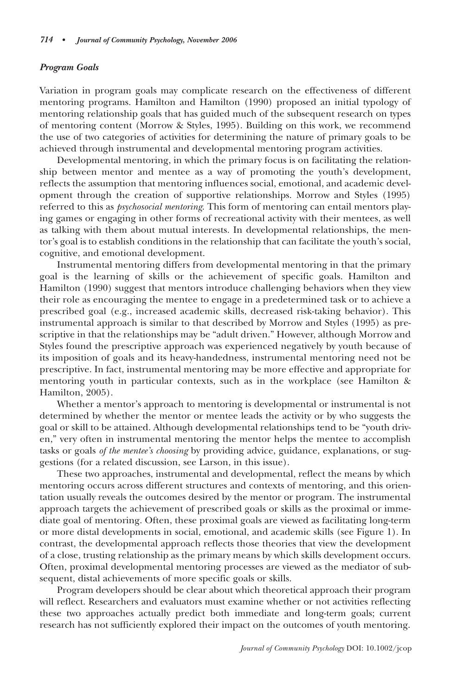#### *Program Goals*

Variation in program goals may complicate research on the effectiveness of different mentoring programs. Hamilton and Hamilton (1990) proposed an initial typology of mentoring relationship goals that has guided much of the subsequent research on types of mentoring content (Morrow & Styles, 1995). Building on this work, we recommend the use of two categories of activities for determining the nature of primary goals to be achieved through instrumental and developmental mentoring program activities.

Developmental mentoring, in which the primary focus is on facilitating the relationship between mentor and mentee as a way of promoting the youth's development, reflects the assumption that mentoring influences social, emotional, and academic development through the creation of supportive relationships. Morrow and Styles (1995) referred to this as *psychosocial mentoring*. This form of mentoring can entail mentors playing games or engaging in other forms of recreational activity with their mentees, as well as talking with them about mutual interests. In developmental relationships, the mentor's goal is to establish conditions in the relationship that can facilitate the youth's social, cognitive, and emotional development.

Instrumental mentoring differs from developmental mentoring in that the primary goal is the learning of skills or the achievement of specific goals. Hamilton and Hamilton (1990) suggest that mentors introduce challenging behaviors when they view their role as encouraging the mentee to engage in a predetermined task or to achieve a prescribed goal (e.g., increased academic skills, decreased risk-taking behavior). This instrumental approach is similar to that described by Morrow and Styles (1995) as prescriptive in that the relationships may be "adult driven." However, although Morrow and Styles found the prescriptive approach was experienced negatively by youth because of its imposition of goals and its heavy-handedness, instrumental mentoring need not be prescriptive. In fact, instrumental mentoring may be more effective and appropriate for mentoring youth in particular contexts, such as in the workplace (see Hamilton & Hamilton, 2005).

Whether a mentor's approach to mentoring is developmental or instrumental is not determined by whether the mentor or mentee leads the activity or by who suggests the goal or skill to be attained. Although developmental relationships tend to be "youth driven," very often in instrumental mentoring the mentor helps the mentee to accomplish tasks or goals *of the mentee's choosing* by providing advice, guidance, explanations, or suggestions (for a related discussion, see Larson, in this issue).

These two approaches, instrumental and developmental, reflect the means by which mentoring occurs across different structures and contexts of mentoring, and this orientation usually reveals the outcomes desired by the mentor or program. The instrumental approach targets the achievement of prescribed goals or skills as the proximal or immediate goal of mentoring. Often, these proximal goals are viewed as facilitating long-term or more distal developments in social, emotional, and academic skills (see Figure 1). In contrast, the developmental approach reflects those theories that view the development of a close, trusting relationship as the primary means by which skills development occurs. Often, proximal developmental mentoring processes are viewed as the mediator of subsequent, distal achievements of more specific goals or skills.

Program developers should be clear about which theoretical approach their program will reflect. Researchers and evaluators must examine whether or not activities reflecting these two approaches actually predict both immediate and long-term goals; current research has not sufficiently explored their impact on the outcomes of youth mentoring.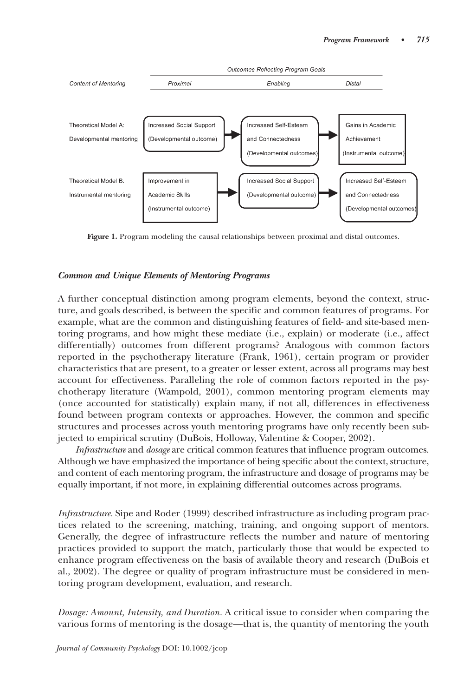

**Figure 1.** Program modeling the causal relationships between proximal and distal outcomes.

## *Common and Unique Elements of Mentoring Programs*

A further conceptual distinction among program elements, beyond the context, structure, and goals described, is between the specific and common features of programs. For example, what are the common and distinguishing features of field- and site-based mentoring programs, and how might these mediate (i.e., explain) or moderate (i.e., affect differentially) outcomes from different programs? Analogous with common factors reported in the psychotherapy literature (Frank, 1961), certain program or provider characteristics that are present, to a greater or lesser extent, across all programs may best account for effectiveness. Paralleling the role of common factors reported in the psychotherapy literature (Wampold, 2001), common mentoring program elements may (once accounted for statistically) explain many, if not all, differences in effectiveness found between program contexts or approaches. However, the common and specific structures and processes across youth mentoring programs have only recently been subjected to empirical scrutiny (DuBois, Holloway, Valentine & Cooper, 2002).

*Infrastructure* and *dosage* are critical common features that influence program outcomes. Although we have emphasized the importance of being specific about the context, structure, and content of each mentoring program, the infrastructure and dosage of programs may be equally important, if not more, in explaining differential outcomes across programs.

*Infrastructure.* Sipe and Roder (1999) described infrastructure as including program practices related to the screening, matching, training, and ongoing support of mentors. Generally, the degree of infrastructure reflects the number and nature of mentoring practices provided to support the match, particularly those that would be expected to enhance program effectiveness on the basis of available theory and research (DuBois et al., 2002). The degree or quality of program infrastructure must be considered in mentoring program development, evaluation, and research.

*Dosage: Amount, Intensity, and Duration.* A critical issue to consider when comparing the various forms of mentoring is the dosage—that is, the quantity of mentoring the youth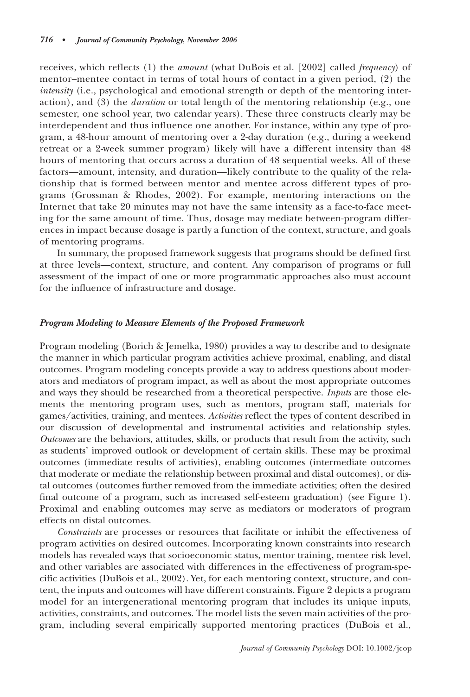receives, which reflects (1) the *amount* (what DuBois et al. [2002] called *frequency*) of mentor–mentee contact in terms of total hours of contact in a given period, (2) the *intensity* (i.e., psychological and emotional strength or depth of the mentoring interaction), and (3) the *duration* or total length of the mentoring relationship (e.g., one semester, one school year, two calendar years). These three constructs clearly may be interdependent and thus influence one another. For instance, within any type of program, a 48-hour amount of mentoring over a 2-day duration (e.g., during a weekend retreat or a 2-week summer program) likely will have a different intensity than 48 hours of mentoring that occurs across a duration of 48 sequential weeks. All of these factors—amount, intensity, and duration—likely contribute to the quality of the relationship that is formed between mentor and mentee across different types of programs (Grossman & Rhodes, 2002). For example, mentoring interactions on the Internet that take 20 minutes may not have the same intensity as a face-to-face meeting for the same amount of time. Thus, dosage may mediate between-program differences in impact because dosage is partly a function of the context, structure, and goals of mentoring programs.

In summary, the proposed framework suggests that programs should be defined first at three levels—context, structure, and content. Any comparison of programs or full assessment of the impact of one or more programmatic approaches also must account for the influence of infrastructure and dosage.

# *Program Modeling to Measure Elements of the Proposed Framework*

Program modeling (Borich & Jemelka, 1980) provides a way to describe and to designate the manner in which particular program activities achieve proximal, enabling, and distal outcomes. Program modeling concepts provide a way to address questions about moderators and mediators of program impact, as well as about the most appropriate outcomes and ways they should be researched from a theoretical perspective. *Inputs* are those elements the mentoring program uses, such as mentors, program staff, materials for games/activities, training, and mentees. *Activities* reflect the types of content described in our discussion of developmental and instrumental activities and relationship styles. *Outcomes* are the behaviors, attitudes, skills, or products that result from the activity, such as students' improved outlook or development of certain skills. These may be proximal outcomes (immediate results of activities), enabling outcomes (intermediate outcomes that moderate or mediate the relationship between proximal and distal outcomes), or distal outcomes (outcomes further removed from the immediate activities; often the desired final outcome of a program, such as increased self-esteem graduation) (see Figure 1). Proximal and enabling outcomes may serve as mediators or moderators of program effects on distal outcomes.

*Constraints* are processes or resources that facilitate or inhibit the effectiveness of program activities on desired outcomes. Incorporating known constraints into research models has revealed ways that socioeconomic status, mentor training, mentee risk level, and other variables are associated with differences in the effectiveness of program-specific activities (DuBois et al., 2002). Yet, for each mentoring context, structure, and content, the inputs and outcomes will have different constraints. Figure 2 depicts a program model for an intergenerational mentoring program that includes its unique inputs, activities, constraints, and outcomes. The model lists the seven main activities of the program, including several empirically supported mentoring practices (DuBois et al.,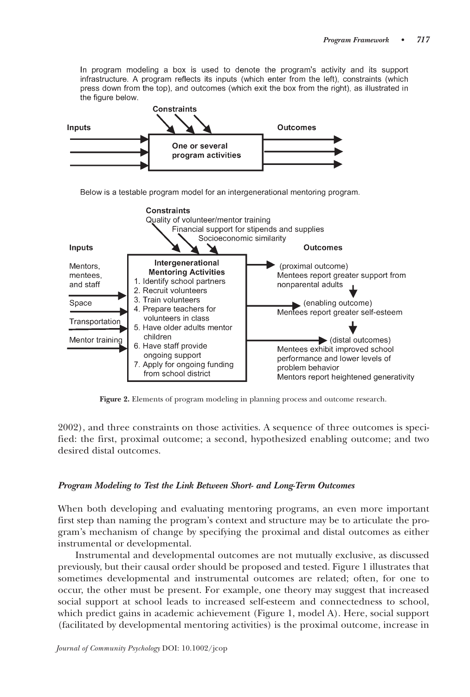In program modeling a box is used to denote the program's activity and its support infrastructure. A program reflects its inputs (which enter from the left), constraints (which press down from the top), and outcomes (which exit the box from the right), as illustrated in the figure below.





**Figure 2.** Elements of program modeling in planning process and outcome research.

2002), and three constraints on those activities. A sequence of three outcomes is specified: the first, proximal outcome; a second, hypothesized enabling outcome; and two desired distal outcomes.

## *Program Modeling to Test the Link Between Short- and Long-Term Outcomes*

When both developing and evaluating mentoring programs, an even more important first step than naming the program's context and structure may be to articulate the program's mechanism of change by specifying the proximal and distal outcomes as either instrumental or developmental.

Instrumental and developmental outcomes are not mutually exclusive, as discussed previously, but their causal order should be proposed and tested. Figure 1 illustrates that sometimes developmental and instrumental outcomes are related; often, for one to occur, the other must be present. For example, one theory may suggest that increased social support at school leads to increased self-esteem and connectedness to school, which predict gains in academic achievement (Figure 1, model A). Here, social support (facilitated by developmental mentoring activities) is the proximal outcome, increase in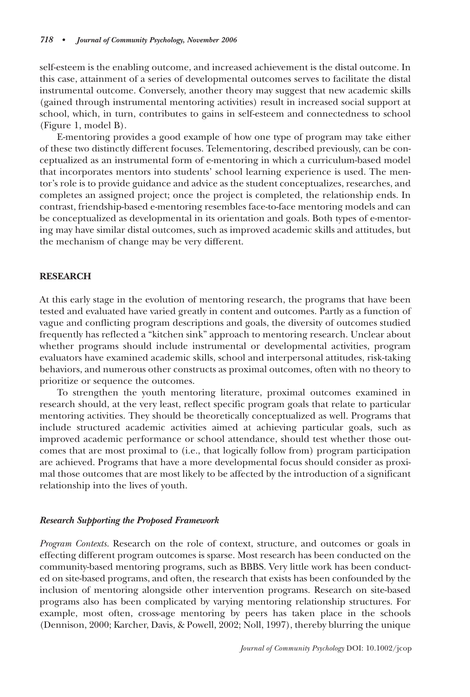self-esteem is the enabling outcome, and increased achievement is the distal outcome. In this case, attainment of a series of developmental outcomes serves to facilitate the distal instrumental outcome. Conversely, another theory may suggest that new academic skills (gained through instrumental mentoring activities) result in increased social support at school, which, in turn, contributes to gains in self-esteem and connectedness to school (Figure 1, model B).

E-mentoring provides a good example of how one type of program may take either of these two distinctly different focuses. Telementoring, described previously, can be conceptualized as an instrumental form of e-mentoring in which a curriculum-based model that incorporates mentors into students' school learning experience is used. The mentor's role is to provide guidance and advice as the student conceptualizes, researches, and completes an assigned project; once the project is completed, the relationship ends. In contrast, friendship-based e-mentoring resembles face-to-face mentoring models and can be conceptualized as developmental in its orientation and goals. Both types of e-mentoring may have similar distal outcomes, such as improved academic skills and attitudes, but the mechanism of change may be very different.

#### **RESEARCH**

At this early stage in the evolution of mentoring research, the programs that have been tested and evaluated have varied greatly in content and outcomes. Partly as a function of vague and conflicting program descriptions and goals, the diversity of outcomes studied frequently has reflected a "kitchen sink" approach to mentoring research. Unclear about whether programs should include instrumental or developmental activities, program evaluators have examined academic skills, school and interpersonal attitudes, risk-taking behaviors, and numerous other constructs as proximal outcomes, often with no theory to prioritize or sequence the outcomes.

To strengthen the youth mentoring literature, proximal outcomes examined in research should, at the very least, reflect specific program goals that relate to particular mentoring activities. They should be theoretically conceptualized as well. Programs that include structured academic activities aimed at achieving particular goals, such as improved academic performance or school attendance, should test whether those outcomes that are most proximal to (i.e., that logically follow from) program participation are achieved. Programs that have a more developmental focus should consider as proximal those outcomes that are most likely to be affected by the introduction of a significant relationship into the lives of youth.

#### *Research Supporting the Proposed Framework*

*Program Contexts.* Research on the role of context, structure, and outcomes or goals in effecting different program outcomes is sparse. Most research has been conducted on the community-based mentoring programs, such as BBBS. Very little work has been conducted on site-based programs, and often, the research that exists has been confounded by the inclusion of mentoring alongside other intervention programs. Research on site-based programs also has been complicated by varying mentoring relationship structures. For example, most often, cross-age mentoring by peers has taken place in the schools (Dennison, 2000; Karcher, Davis, & Powell, 2002; Noll, 1997), thereby blurring the unique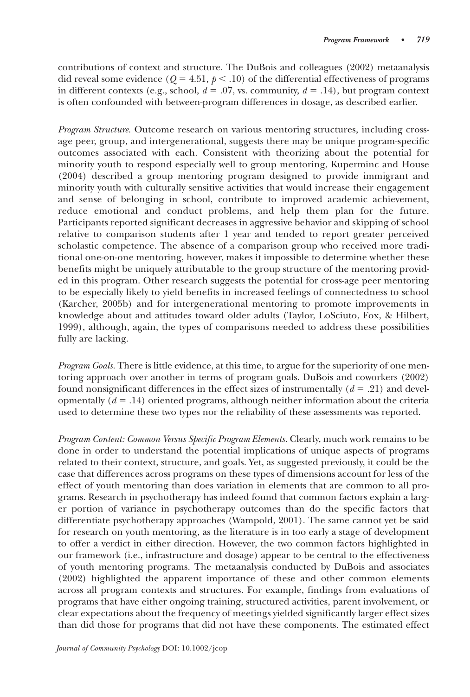contributions of context and structure. The DuBois and colleagues (2002) metaanalysis did reveal some evidence  $(Q = 4.51, p < .10)$  of the differential effectiveness of programs in different contexts (e.g., school,  $d = .07$ , vs. community,  $d = .14$ ), but program context is often confounded with between-program differences in dosage, as described earlier.

*Program Structure.* Outcome research on various mentoring structures, including crossage peer, group, and intergenerational, suggests there may be unique program-specific outcomes associated with each. Consistent with theorizing about the potential for minority youth to respond especially well to group mentoring, Kuperminc and House (2004) described a group mentoring program designed to provide immigrant and minority youth with culturally sensitive activities that would increase their engagement and sense of belonging in school, contribute to improved academic achievement, reduce emotional and conduct problems, and help them plan for the future. Participants reported significant decreases in aggressive behavior and skipping of school relative to comparison students after 1 year and tended to report greater perceived scholastic competence. The absence of a comparison group who received more traditional one-on-one mentoring, however, makes it impossible to determine whether these benefits might be uniquely attributable to the group structure of the mentoring provided in this program. Other research suggests the potential for cross-age peer mentoring to be especially likely to yield benefits in increased feelings of connectedness to school (Karcher, 2005b) and for intergenerational mentoring to promote improvements in knowledge about and attitudes toward older adults (Taylor, LoSciuto, Fox, & Hilbert, 1999), although, again, the types of comparisons needed to address these possibilities fully are lacking.

*Program Goals.* There is little evidence, at this time, to argue for the superiority of one mentoring approach over another in terms of program goals. DuBois and coworkers (2002) found nonsignificant differences in the effect sizes of instrumentally  $(d = .21)$  and developmentally  $(d = .14)$  oriented programs, although neither information about the criteria used to determine these two types nor the reliability of these assessments was reported.

*Program Content: Common Versus Specific Program Elements.* Clearly, much work remains to be done in order to understand the potential implications of unique aspects of programs related to their context, structure, and goals. Yet, as suggested previously, it could be the case that differences across programs on these types of dimensions account for less of the effect of youth mentoring than does variation in elements that are common to all programs. Research in psychotherapy has indeed found that common factors explain a larger portion of variance in psychotherapy outcomes than do the specific factors that differentiate psychotherapy approaches (Wampold, 2001). The same cannot yet be said for research on youth mentoring, as the literature is in too early a stage of development to offer a verdict in either direction. However, the two common factors highlighted in our framework (i.e., infrastructure and dosage) appear to be central to the effectiveness of youth mentoring programs. The metaanalysis conducted by DuBois and associates (2002) highlighted the apparent importance of these and other common elements across all program contexts and structures. For example, findings from evaluations of programs that have either ongoing training, structured activities, parent involvement, or clear expectations about the frequency of meetings yielded significantly larger effect sizes than did those for programs that did not have these components. The estimated effect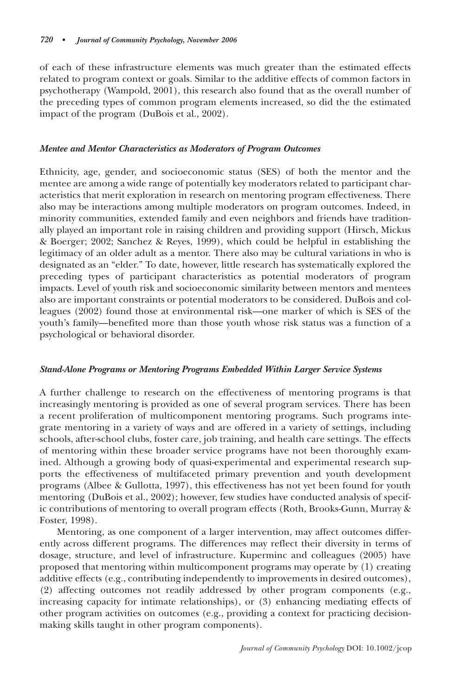of each of these infrastructure elements was much greater than the estimated effects related to program context or goals. Similar to the additive effects of common factors in psychotherapy (Wampold, 2001), this research also found that as the overall number of the preceding types of common program elements increased, so did the the estimated impact of the program (DuBois et al., 2002).

# *Mentee and Mentor Characteristics as Moderators of Program Outcomes*

Ethnicity, age, gender, and socioeconomic status (SES) of both the mentor and the mentee are among a wide range of potentially key moderators related to participant characteristics that merit exploration in research on mentoring program effectiveness. There also may be interactions among multiple moderators on program outcomes. Indeed, in minority communities, extended family and even neighbors and friends have traditionally played an important role in raising children and providing support (Hirsch, Mickus & Boerger; 2002; Sanchez & Reyes, 1999), which could be helpful in establishing the legitimacy of an older adult as a mentor. There also may be cultural variations in who is designated as an "elder." To date, however, little research has systematically explored the preceding types of participant characteristics as potential moderators of program impacts. Level of youth risk and socioeconomic similarity between mentors and mentees also are important constraints or potential moderators to be considered. DuBois and colleagues (2002) found those at environmental risk—one marker of which is SES of the youth's family—benefited more than those youth whose risk status was a function of a psychological or behavioral disorder.

## *Stand-Alone Programs or Mentoring Programs Embedded Within Larger Service Systems*

A further challenge to research on the effectiveness of mentoring programs is that increasingly mentoring is provided as one of several program services. There has been a recent proliferation of multicomponent mentoring programs. Such programs integrate mentoring in a variety of ways and are offered in a variety of settings, including schools, after-school clubs, foster care, job training, and health care settings. The effects of mentoring within these broader service programs have not been thoroughly examined. Although a growing body of quasi-experimental and experimental research supports the effectiveness of multifaceted primary prevention and youth development programs (Albee & Gullotta, 1997), this effectiveness has not yet been found for youth mentoring (DuBois et al., 2002); however, few studies have conducted analysis of specific contributions of mentoring to overall program effects (Roth, Brooks-Gunn, Murray & Foster, 1998).

Mentoring, as one component of a larger intervention, may affect outcomes differently across different programs. The differences may reflect their diversity in terms of dosage, structure, and level of infrastructure. Kuperminc and colleagues (2005) have proposed that mentoring within multicomponent programs may operate by (1) creating additive effects (e.g., contributing independently to improvements in desired outcomes), (2) affecting outcomes not readily addressed by other program components (e.g., increasing capacity for intimate relationships), or (3) enhancing mediating effects of other program activities on outcomes (e.g., providing a context for practicing decisionmaking skills taught in other program components).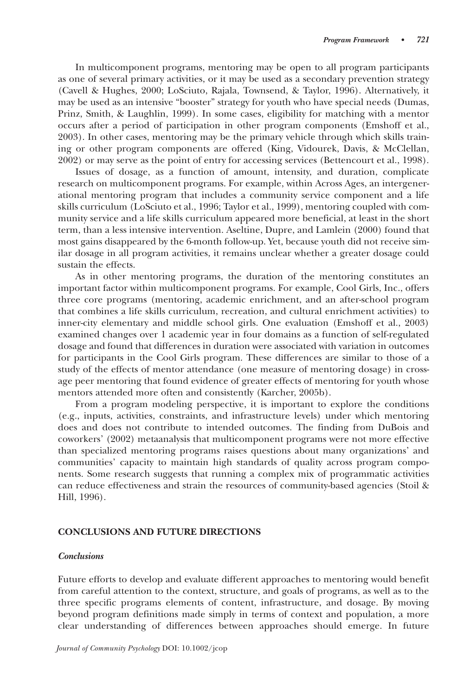In multicomponent programs, mentoring may be open to all program participants as one of several primary activities, or it may be used as a secondary prevention strategy (Cavell & Hughes, 2000; LoSciuto, Rajala, Townsend, & Taylor, 1996). Alternatively, it may be used as an intensive "booster" strategy for youth who have special needs (Dumas, Prinz, Smith, & Laughlin, 1999). In some cases, eligibility for matching with a mentor occurs after a period of participation in other program components (Emshoff et al., 2003). In other cases, mentoring may be the primary vehicle through which skills training or other program components are offered (King, Vidourek, Davis, & McClellan, 2002) or may serve as the point of entry for accessing services (Bettencourt et al., 1998).

Issues of dosage, as a function of amount, intensity, and duration, complicate research on multicomponent programs. For example, within Across Ages, an intergenerational mentoring program that includes a community service component and a life skills curriculum (LoSciuto et al., 1996; Taylor et al., 1999), mentoring coupled with community service and a life skills curriculum appeared more beneficial, at least in the short term, than a less intensive intervention. Aseltine, Dupre, and Lamlein (2000) found that most gains disappeared by the 6-month follow-up. Yet, because youth did not receive similar dosage in all program activities, it remains unclear whether a greater dosage could sustain the effects.

As in other mentoring programs, the duration of the mentoring constitutes an important factor within multicomponent programs. For example, Cool Girls, Inc., offers three core programs (mentoring, academic enrichment, and an after-school program that combines a life skills curriculum, recreation, and cultural enrichment activities) to inner-city elementary and middle school girls. One evaluation (Emshoff et al., 2003) examined changes over 1 academic year in four domains as a function of self-regulated dosage and found that differences in duration were associated with variation in outcomes for participants in the Cool Girls program. These differences are similar to those of a study of the effects of mentor attendance (one measure of mentoring dosage) in crossage peer mentoring that found evidence of greater effects of mentoring for youth whose mentors attended more often and consistently (Karcher, 2005b).

From a program modeling perspective, it is important to explore the conditions (e.g., inputs, activities, constraints, and infrastructure levels) under which mentoring does and does not contribute to intended outcomes. The finding from DuBois and coworkers' (2002) metaanalysis that multicomponent programs were not more effective than specialized mentoring programs raises questions about many organizations' and communities' capacity to maintain high standards of quality across program components. Some research suggests that running a complex mix of programmatic activities can reduce effectiveness and strain the resources of community-based agencies (Stoil & Hill, 1996).

# **CONCLUSIONS AND FUTURE DIRECTIONS**

## *Conclusions*

Future efforts to develop and evaluate different approaches to mentoring would benefit from careful attention to the context, structure, and goals of programs, as well as to the three specific programs elements of content, infrastructure, and dosage. By moving beyond program definitions made simply in terms of context and population, a more clear understanding of differences between approaches should emerge. In future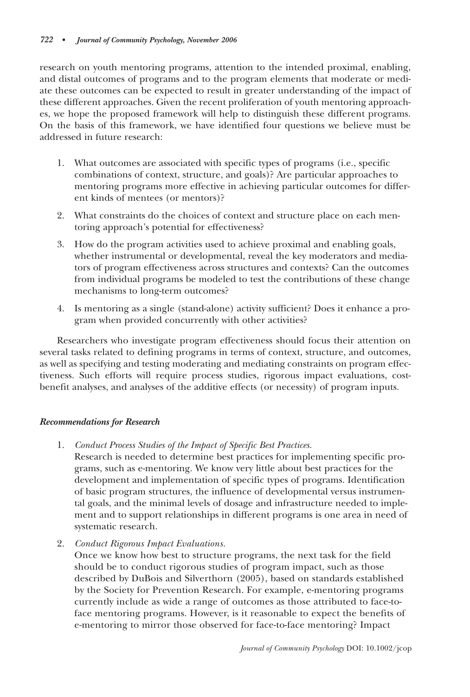research on youth mentoring programs, attention to the intended proximal, enabling, and distal outcomes of programs and to the program elements that moderate or mediate these outcomes can be expected to result in greater understanding of the impact of these different approaches. Given the recent proliferation of youth mentoring approaches, we hope the proposed framework will help to distinguish these different programs. On the basis of this framework, we have identified four questions we believe must be addressed in future research:

- 1. What outcomes are associated with specific types of programs (i.e., specific combinations of context, structure, and goals)? Are particular approaches to mentoring programs more effective in achieving particular outcomes for different kinds of mentees (or mentors)?
- 2. What constraints do the choices of context and structure place on each mentoring approach's potential for effectiveness?
- 3. How do the program activities used to achieve proximal and enabling goals, whether instrumental or developmental, reveal the key moderators and mediators of program effectiveness across structures and contexts? Can the outcomes from individual programs be modeled to test the contributions of these change mechanisms to long-term outcomes?
- 4. Is mentoring as a single (stand-alone) activity sufficient? Does it enhance a program when provided concurrently with other activities?

Researchers who investigate program effectiveness should focus their attention on several tasks related to defining programs in terms of context, structure, and outcomes, as well as specifying and testing moderating and mediating constraints on program effectiveness. Such efforts will require process studies, rigorous impact evaluations, costbenefit analyses, and analyses of the additive effects (or necessity) of program inputs.

# *Recommendations for Research*

1. *Conduct Process Studies of the Impact of Specific Best Practices.*

Research is needed to determine best practices for implementing specific programs, such as e-mentoring. We know very little about best practices for the development and implementation of specific types of programs. Identification of basic program structures, the influence of developmental versus instrumental goals, and the minimal levels of dosage and infrastructure needed to implement and to support relationships in different programs is one area in need of systematic research.

2. *Conduct Rigorous Impact Evaluations.*

Once we know how best to structure programs, the next task for the field should be to conduct rigorous studies of program impact, such as those described by DuBois and Silverthorn (2005), based on standards established by the Society for Prevention Research. For example, e-mentoring programs currently include as wide a range of outcomes as those attributed to face-toface mentoring programs. However, is it reasonable to expect the benefits of e-mentoring to mirror those observed for face-to-face mentoring? Impact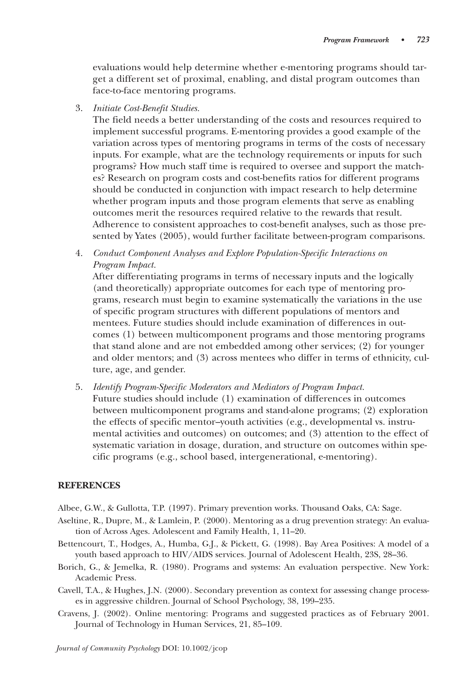evaluations would help determine whether e-mentoring programs should target a different set of proximal, enabling, and distal program outcomes than face-to-face mentoring programs.

3. *Initiate Cost-Benefit Studies.*

The field needs a better understanding of the costs and resources required to implement successful programs. E-mentoring provides a good example of the variation across types of mentoring programs in terms of the costs of necessary inputs. For example, what are the technology requirements or inputs for such programs? How much staff time is required to oversee and support the matches? Research on program costs and cost-benefits ratios for different programs should be conducted in conjunction with impact research to help determine whether program inputs and those program elements that serve as enabling outcomes merit the resources required relative to the rewards that result. Adherence to consistent approaches to cost-benefit analyses, such as those presented by Yates (2005), would further facilitate between-program comparisons.

4. *Conduct Component Analyses and Explore Population-Specific Interactions on Program Impact.*

After differentiating programs in terms of necessary inputs and the logically (and theoretically) appropriate outcomes for each type of mentoring programs, research must begin to examine systematically the variations in the use of specific program structures with different populations of mentors and mentees. Future studies should include examination of differences in outcomes (1) between multicomponent programs and those mentoring programs that stand alone and are not embedded among other services; (2) for younger and older mentors; and (3) across mentees who differ in terms of ethnicity, culture, age, and gender.

5. *Identify Program-Specific Moderators and Mediators of Program Impact.* Future studies should include (1) examination of differences in outcomes between multicomponent programs and stand-alone programs; (2) exploration the effects of specific mentor–youth activities (e.g., developmental vs. instrumental activities and outcomes) on outcomes; and (3) attention to the effect of systematic variation in dosage, duration, and structure on outcomes within specific programs (e.g., school based, intergenerational, e-mentoring).

# **REFERENCES**

- Albee, G.W., & Gullotta, T.P. (1997). Primary prevention works. Thousand Oaks, CA: Sage.
- Aseltine, R., Dupre, M., & Lamlein, P. (2000). Mentoring as a drug prevention strategy: An evaluation of Across Ages. Adolescent and Family Health, 1, 11–20.
- Bettencourt, T., Hodges, A., Humba, G.J., & Pickett, G. (1998). Bay Area Positives: A model of a youth based approach to HIV/AIDS services. Journal of Adolescent Health, 23S, 28–36.
- Borich, G., & Jemelka, R. (1980). Programs and systems: An evaluation perspective. New York: Academic Press.
- Cavell, T.A., & Hughes, J.N. (2000). Secondary prevention as context for assessing change processes in aggressive children. Journal of School Psychology, 38, 199–235.
- Cravens, J. (2002). Online mentoring: Programs and suggested practices as of February 2001. Journal of Technology in Human Services, 21, 85–109.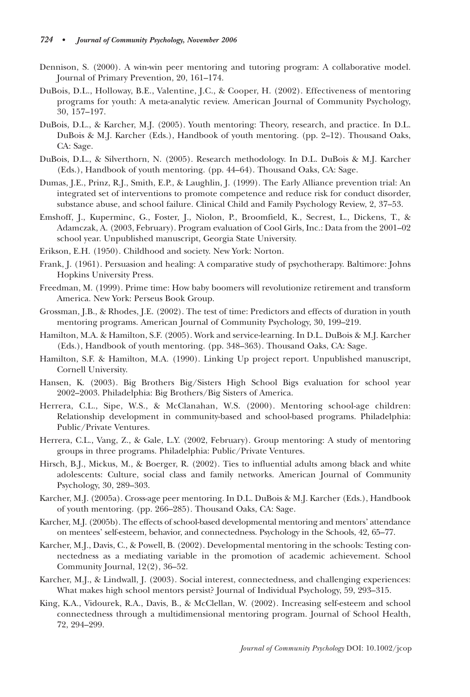- Dennison, S. (2000). A win-win peer mentoring and tutoring program: A collaborative model. Journal of Primary Prevention, 20, 161–174.
- DuBois, D.L., Holloway, B.E., Valentine, J.C., & Cooper, H. (2002). Effectiveness of mentoring programs for youth: A meta-analytic review. American Journal of Community Psychology, 30, 157–197.
- DuBois, D.L., & Karcher, M.J. (2005). Youth mentoring: Theory, research, and practice. In D.L. DuBois & M.J. Karcher (Eds.), Handbook of youth mentoring. (pp. 2–12). Thousand Oaks, CA: Sage.
- DuBois, D.L., & Silverthorn, N. (2005). Research methodology. In D.L. DuBois & M.J. Karcher (Eds.), Handbook of youth mentoring. (pp. 44–64). Thousand Oaks, CA: Sage.
- Dumas, J.E., Prinz, R.J., Smith, E.P., & Laughlin, J. (1999). The Early Alliance prevention trial: An integrated set of interventions to promote competence and reduce risk for conduct disorder, substance abuse, and school failure. Clinical Child and Family Psychology Review, 2, 37–53.
- Emshoff, J., Kuperminc, G., Foster, J., Niolon, P., Broomfield, K., Secrest, L., Dickens, T., & Adamczak, A. (2003, February). Program evaluation of Cool Girls, Inc.: Data from the 2001–02 school year. Unpublished manuscript, Georgia State University.
- Erikson, E.H. (1950). Childhood and society. New York: Norton.
- Frank, J. (1961). Persuasion and healing: A comparative study of psychotherapy. Baltimore: Johns Hopkins University Press.
- Freedman, M. (1999). Prime time: How baby boomers will revolutionize retirement and transform America. New York: Perseus Book Group.
- Grossman, J.B., & Rhodes, J.E. (2002). The test of time: Predictors and effects of duration in youth mentoring programs. American Journal of Community Psychology, 30, 199–219.
- Hamilton, M.A. & Hamilton, S.F. (2005). Work and service-learning. In D.L. DuBois & M.J. Karcher (Eds.), Handbook of youth mentoring. (pp. 348–363). Thousand Oaks, CA: Sage.
- Hamilton, S.F. & Hamilton, M.A. (1990). Linking Up project report. Unpublished manuscript, Cornell University.
- Hansen, K. (2003). Big Brothers Big/Sisters High School Bigs evaluation for school year 2002–2003. Philadelphia: Big Brothers/Big Sisters of America.
- Herrera, C.L., Sipe, W.S., & McClanahan, W.S. (2000). Mentoring school-age children: Relationship development in community-based and school-based programs. Philadelphia: Public/Private Ventures.
- Herrera, C.L., Vang, Z., & Gale, L.Y. (2002, February). Group mentoring: A study of mentoring groups in three programs. Philadelphia: Public/Private Ventures.
- Hirsch, B.J., Mickus, M., & Boerger, R. (2002). Ties to influential adults among black and white adolescents: Culture, social class and family networks. American Journal of Community Psychology, 30, 289–303.
- Karcher, M.J. (2005a). Cross-age peer mentoring. In D.L. DuBois & M.J. Karcher (Eds.), Handbook of youth mentoring. (pp. 266–285). Thousand Oaks, CA: Sage.
- Karcher, M.J. (2005b). The effects of school-based developmental mentoring and mentors' attendance on mentees' self-esteem, behavior, and connectedness. Psychology in the Schools, 42, 65–77.
- Karcher, M.J., Davis, C., & Powell, B. (2002). Developmental mentoring in the schools: Testing connectedness as a mediating variable in the promotion of academic achievement. School Community Journal, 12(2), 36–52.
- Karcher, M.J., & Lindwall, J. (2003). Social interest, connectedness, and challenging experiences: What makes high school mentors persist? Journal of Individual Psychology, 59, 293–315.
- King, K.A., Vidourek, R.A., Davis, B., & McClellan, W. (2002). Increasing self-esteem and school connectedness through a multidimensional mentoring program. Journal of School Health, 72, 294–299.